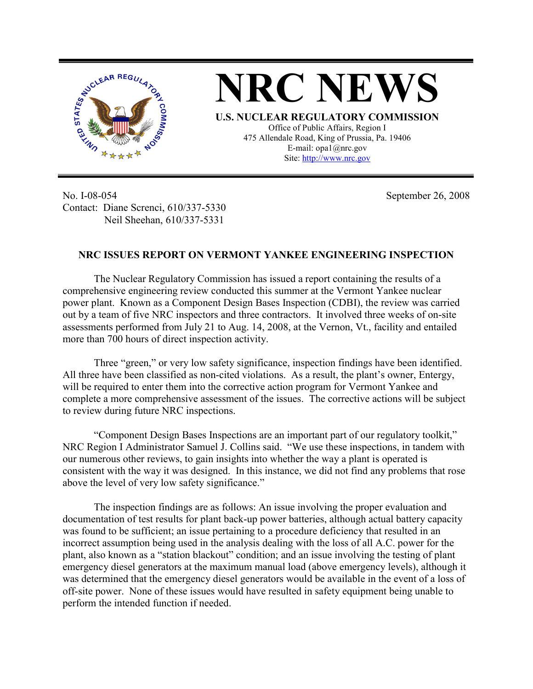



**U.S. NUCLEAR REGULATORY COMMISSION** Office of Public Affairs, Region I 475 Allendale Road, King of Prussia, Pa. 19406 E-mail: opa1@nrc.gov Site: http://www.nrc.gov

No. I-08-054 Contact: Diane Screnci, 610/337-5330 Neil Sheehan, 610/337-5331

September 26, 2008

## **NRC ISSUES REPORT ON VERMONT YANKEE ENGINEERING INSPECTION**

The Nuclear Regulatory Commission has issued a report containing the results of a comprehensive engineering review conducted this summer at the Vermont Yankee nuclear power plant. Known as a Component Design Bases Inspection (CDBI), the review was carried out by a team of five NRC inspectors and three contractors. It involved three weeks of on-site assessments performed from July 21 to Aug. 14, 2008, at the Vernon, Vt., facility and entailed more than 700 hours of direct inspection activity.

Three "green," or very low safety significance, inspection findings have been identified. All three have been classified as non-cited violations. As a result, the plant's owner, Entergy, will be required to enter them into the corrective action program for Vermont Yankee and complete a more comprehensive assessment of the issues. The corrective actions will be subject to review during future NRC inspections.

"Component Design Bases Inspections are an important part of our regulatory toolkit," NRC Region I Administrator Samuel J. Collins said. "We use these inspections, in tandem with our numerous other reviews, to gain insights into whether the way a plant is operated is consistent with the way it was designed. In this instance, we did not find any problems that rose above the level of very low safety significance."

The inspection findings are as follows: An issue involving the proper evaluation and documentation of test results for plant back-up power batteries, although actual battery capacity was found to be sufficient; an issue pertaining to a procedure deficiency that resulted in an incorrect assumption being used in the analysis dealing with the loss of all A.C. power for the plant, also known as a "station blackout" condition; and an issue involving the testing of plant emergency diesel generators at the maximum manual load (above emergency levels), although it was determined that the emergency diesel generators would be available in the event of a loss of off-site power. None of these issues would have resulted in safety equipment being unable to perform the intended function if needed.